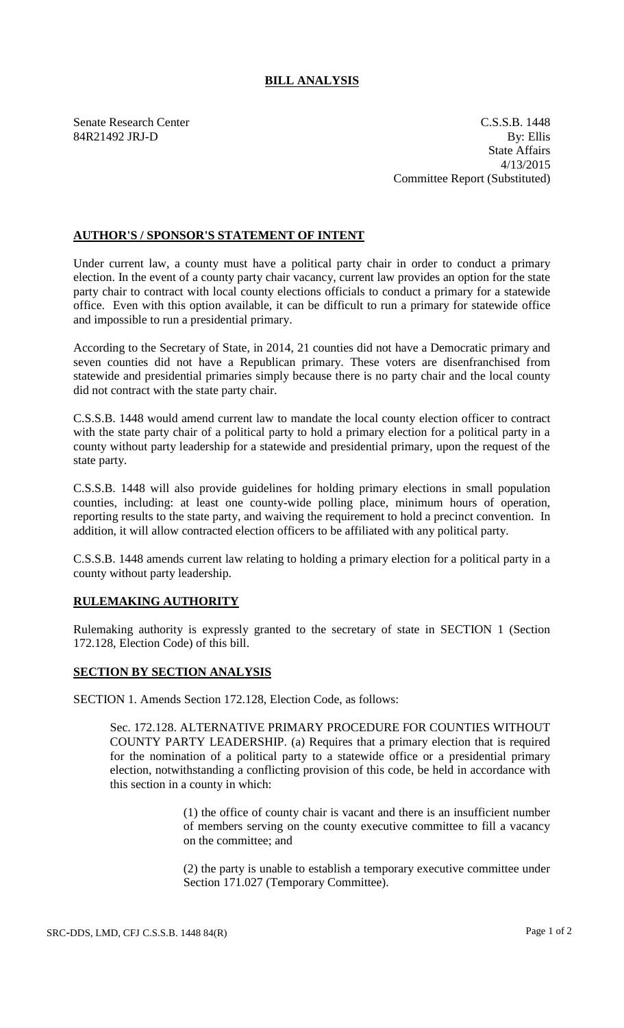## **BILL ANALYSIS**

Senate Research Center C.S.S.B. 1448 84R21492 JRJ-D By: Ellis State Affairs 4/13/2015 Committee Report (Substituted)

## **AUTHOR'S / SPONSOR'S STATEMENT OF INTENT**

Under current law, a county must have a political party chair in order to conduct a primary election. In the event of a county party chair vacancy, current law provides an option for the state party chair to contract with local county elections officials to conduct a primary for a statewide office. Even with this option available, it can be difficult to run a primary for statewide office and impossible to run a presidential primary.

According to the Secretary of State, in 2014, 21 counties did not have a Democratic primary and seven counties did not have a Republican primary. These voters are disenfranchised from statewide and presidential primaries simply because there is no party chair and the local county did not contract with the state party chair.

C.S.S.B. 1448 would amend current law to mandate the local county election officer to contract with the state party chair of a political party to hold a primary election for a political party in a county without party leadership for a statewide and presidential primary, upon the request of the state party.

C.S.S.B. 1448 will also provide guidelines for holding primary elections in small population counties, including: at least one county-wide polling place, minimum hours of operation, reporting results to the state party, and waiving the requirement to hold a precinct convention. In addition, it will allow contracted election officers to be affiliated with any political party.

C.S.S.B. 1448 amends current law relating to holding a primary election for a political party in a county without party leadership.

## **RULEMAKING AUTHORITY**

Rulemaking authority is expressly granted to the secretary of state in SECTION 1 (Section 172.128, Election Code) of this bill.

## **SECTION BY SECTION ANALYSIS**

SECTION 1. Amends Section 172.128, Election Code, as follows:

Sec. 172.128. ALTERNATIVE PRIMARY PROCEDURE FOR COUNTIES WITHOUT COUNTY PARTY LEADERSHIP. (a) Requires that a primary election that is required for the nomination of a political party to a statewide office or a presidential primary election, notwithstanding a conflicting provision of this code, be held in accordance with this section in a county in which:

> (1) the office of county chair is vacant and there is an insufficient number of members serving on the county executive committee to fill a vacancy on the committee; and

> (2) the party is unable to establish a temporary executive committee under Section 171.027 (Temporary Committee).